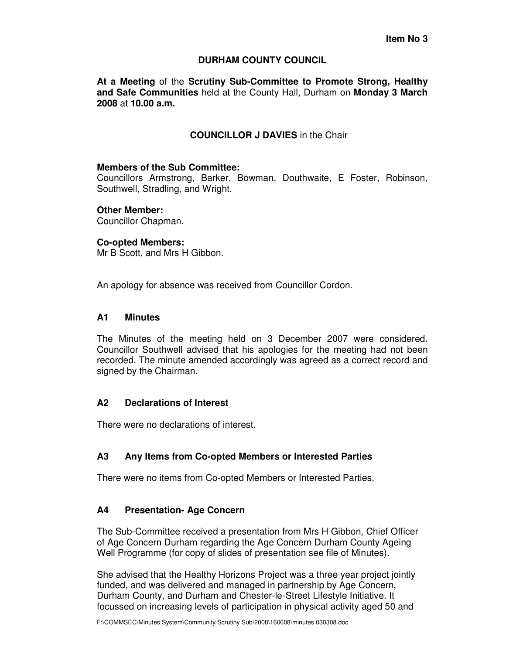### **DURHAM COUNTY COUNCIL**

**At a Meeting** of the **Scrutiny Sub-Committee to Promote Strong, Healthy and Safe Communities** held at the County Hall, Durham on **Monday 3 March 2008** at **10.00 a.m.** 

# **COUNCILLOR J DAVIES** in the Chair

#### **Members of the Sub Committee:**

Councillors Armstrong, Barker, Bowman, Douthwaite, E Foster, Robinson, Southwell, Stradling, and Wright.

#### **Other Member:**

Councillor Chapman.

#### **Co-opted Members:**

Mr B Scott, and Mrs H Gibbon.

An apology for absence was received from Councillor Cordon.

# **A1 Minutes**

The Minutes of the meeting held on 3 December 2007 were considered. Councillor Southwell advised that his apologies for the meeting had not been recorded. The minute amended accordingly was agreed as a correct record and signed by the Chairman.

# **A2 Declarations of Interest**

There were no declarations of interest.

# **A3 Any Items from Co-opted Members or Interested Parties**

There were no items from Co-opted Members or Interested Parties.

# **A4 Presentation- Age Concern**

The Sub-Committee received a presentation from Mrs H Gibbon, Chief Officer of Age Concern Durham regarding the Age Concern Durham County Ageing Well Programme (for copy of slides of presentation see file of Minutes).

She advised that the Healthy Horizons Project was a three year project jointly funded, and was delivered and managed in partnership by Age Concern, Durham County, and Durham and Chester-le-Street Lifestyle Initiative. It focussed on increasing levels of participation in physical activity aged 50 and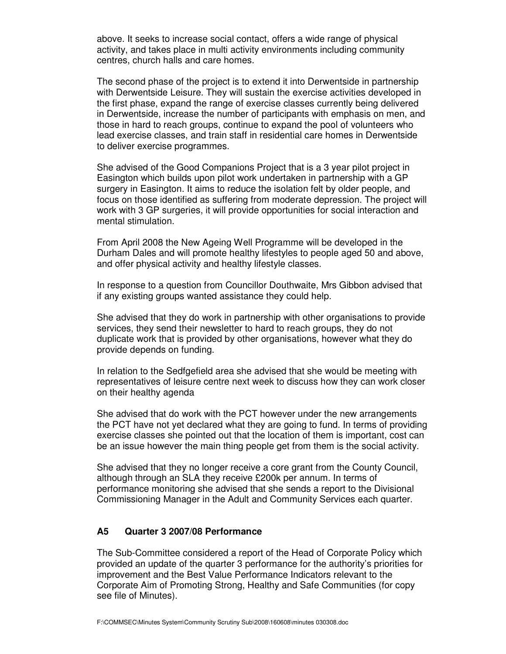above. It seeks to increase social contact, offers a wide range of physical activity, and takes place in multi activity environments including community centres, church halls and care homes.

The second phase of the project is to extend it into Derwentside in partnership with Derwentside Leisure. They will sustain the exercise activities developed in the first phase, expand the range of exercise classes currently being delivered in Derwentside, increase the number of participants with emphasis on men, and those in hard to reach groups, continue to expand the pool of volunteers who lead exercise classes, and train staff in residential care homes in Derwentside to deliver exercise programmes.

She advised of the Good Companions Project that is a 3 year pilot project in Easington which builds upon pilot work undertaken in partnership with a GP surgery in Easington. It aims to reduce the isolation felt by older people, and focus on those identified as suffering from moderate depression. The project will work with 3 GP surgeries, it will provide opportunities for social interaction and mental stimulation.

From April 2008 the New Ageing Well Programme will be developed in the Durham Dales and will promote healthy lifestyles to people aged 50 and above, and offer physical activity and healthy lifestyle classes.

In response to a question from Councillor Douthwaite, Mrs Gibbon advised that if any existing groups wanted assistance they could help.

She advised that they do work in partnership with other organisations to provide services, they send their newsletter to hard to reach groups, they do not duplicate work that is provided by other organisations, however what they do provide depends on funding.

In relation to the Sedfgefield area she advised that she would be meeting with representatives of leisure centre next week to discuss how they can work closer on their healthy agenda

She advised that do work with the PCT however under the new arrangements the PCT have not yet declared what they are going to fund. In terms of providing exercise classes she pointed out that the location of them is important, cost can be an issue however the main thing people get from them is the social activity.

She advised that they no longer receive a core grant from the County Council, although through an SLA they receive £200k per annum. In terms of performance monitoring she advised that she sends a report to the Divisional Commissioning Manager in the Adult and Community Services each quarter.

#### **A5 Quarter 3 2007/08 Performance**

The Sub-Committee considered a report of the Head of Corporate Policy which provided an update of the quarter 3 performance for the authority's priorities for improvement and the Best Value Performance Indicators relevant to the Corporate Aim of Promoting Strong, Healthy and Safe Communities (for copy see file of Minutes).